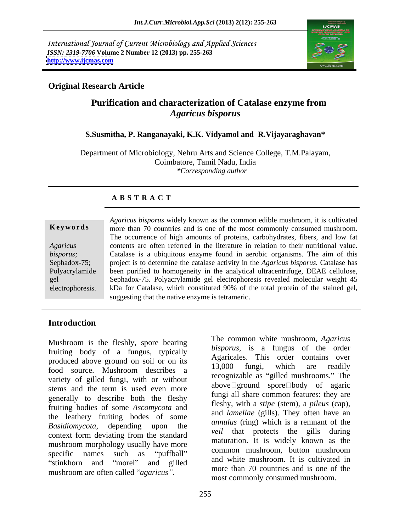International Journal of Current Microbiology and Applied Sciences *ISSN: 2319-7706* **Volume 2 Number 12 (2013) pp. 255-263 <http://www.ijcmas.com>**



### **Original Research Article**

## **Purification and characterization of Catalase enzyme from** *Agaricus bisporus*

#### **S.Susmitha, P. Ranganayaki, K.K. Vidyamol and R.Vijayaraghavan\***

Department of Microbiology, Nehru Arts and Science College, T.M.Palayam, Coimbatore, Tamil Nadu, India *\*Corresponding author*

### **A B S T R A C T**

**Keywords** more than 70 countries and is one of the most commonly consumed mushroom. Agaricus contents are often referred in the literature in relation to their nutritional value. *bisporus*; Catalase is a ubiquitous enzyme found in aerobic organisms. The aim of this Sephadox-75; project is to determine the catalase activity in the *Agaricus bisporus.* Catalase has Polyacrylamide been purified to homogeneity in the analytical ultracentrifuge, DEAE cellulose, gel Sephadox-75. Polyacrylamide gel electrophoresis revealed molecular weight 45 electrophoresis. kDa for Catalase, which constituted 90% of the total protein of the stained gel, *Agaricus bisporus* widely known as the common edible mushroom, it is cultivated The occurrence of high amounts of proteins, carbohydrates, fibers, and low fat suggesting that the native enzyme is tetrameric.

### **Introduction**

fruiting body of a fungus, typically produced above ground on soil or on its<br>13.000 fungi, which are readily food source. Mushroom describes a 13,000 juillet, which are readily variety of gilled fungi, with or without stems and the term is used even more generally to describe both the fleshy fruiting bodies of some *Ascomycota* and the leathery fruiting bodes of some *Basidiomycota*, depending upon the *annume* (ing) which is a reminant of the context form deviating from the standard mushroom morphology usually have more<br>common mushroom, button mushroom specific names such as "puffball"  $\frac{1}{1}$  common music only button music only

Mushroom is the fleshly, spore bearing The common white mushroom, Agaricus stinkhorn and "morel" and gilled  $\frac{d\mu}{d\mu}$  and  $\frac{d\mu}{d\mu}$   $\frac{d\mu}{d\mu}$  and  $\frac{d\mu}{d\mu}$  and  $\frac{d\mu}{d\mu}$  and  $\frac{d\mu}{d\mu}$  and  $\frac{d\mu}{d\mu}$  and  $\frac{d\mu}{d\mu}$  and  $\frac{d\mu}{d\mu}$  and  $\frac{d\mu}{d\mu}$  and  $\frac{d\mu}{d\mu}$ Mushroom is the fleshly, spore bearing The common white mushroom, *Agaricus* fruiting body of a fungus, typically *bisporus*, is a fungus of the order produced above ground on soil or on its Agaricales. This order contain *bisporus*, is a fungus of the order Agaricales. This order contains over 13,000 fungi, which are readily recognizable as "gilled mushrooms." The above ground spore body of agaric fungi all share common features: they are fleshy, with a *stipe* (stem), a *pileus* (cap), and *lamellae* (gills). They often have an *annulus* (ring) which is a remnant of the *veil* that protects the gills during maturation. It is widely known as the common mushroom, button mushroom and white mushroom. It is cultivated in more than 70 countries and is one of the most commonly consumed mushroom.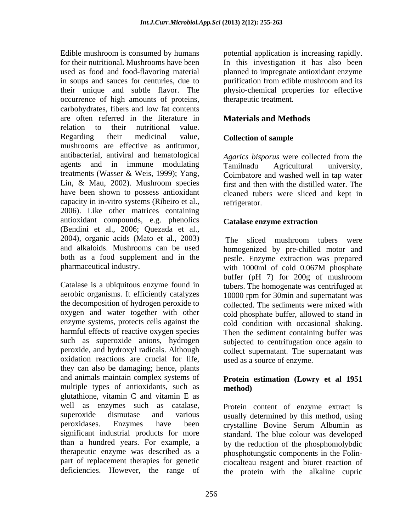Edible mushroom is consumed by humans potential application is increasing rapidly. for their nutritional**.** Mushrooms have been In this investigation it has also been used as food and food-flavoring material planned to impregnate antioxidant enzyme in soups and sauces for centuries, due to purification from edible mushroom and its their unique and subtle flavor. The physio-chemical properties for effective occurrence of high amounts of proteins, carbohydrates, fibers and low fat contents are often referred in the literature in relation to their nutritional value. Regarding their medicinal value, **Collection of sample** mushrooms are effective as antitumor, antibacterial, antiviral and hematological agents and in immune modulating Tamilnadu Agricultural university, treatments (Wasser & Weis, 1999); Yang, Lin, & Mau, 2002). Mushroom species have been shown to possess antioxidant capacity in in-vitro systems (Ribeiro et al., 2006). Like other matrices containing antioxidant compounds, e.g. phenolics (Bendini et al., 2006; Quezada et al., 2004), organic acids (Mato et al., 2003) and alkaloids. Mushrooms can be used homogenized by pre-chilled motor and both as a food supplement and in the pestle. Enzyme extraction was prepared pharmaceutical industry.  $\frac{1}{2}$  with 1000ml of cold 0.067M phosphate

Catalase is a ubiquitous enzyme found in tubers. The homogenate was centrifuged at aerobic organisms. It efficiently catalyzes 10000 rpm for 30min and supernatant was the decomposition of hydrogen peroxide to collected. The sediments were mixed with oxygen and water together with other cold phosphate buffer, allowed to stand in enzyme systems, protects cells against the cold condition with occasional shaking. harmful effects of reactive oxygen species<br>such as superoxide anions, hydrogen subjected to centrifugation once again to such as superoxide anions, hydrogen subjected to centrifugation once again to peroxide, and hydroxyl radicals. Although collect supernatant. The supernatant was oxidation reactions are crucial for life, they can also be damaging; hence, plants and animals maintain complex systems of **Protein estimation (Lowry et al 1951** multiple types of antioxidants, such as **method**) glutathione, vitamin C and vitamin E as well as enzymes such as catalase, Protein content of enzyme extract is superoxide dismutase and various usually determined by this method, using peroxidases. Enzymes have been crystalline Bovine Serum Albumin as significant industrial products for more than a hundred years. For example, a by the reduction of the phosphomolybdic therapeutic enzyme was described as a phosphotungstic components in the Folin part of replacement therapies for genetic ciocalteau reagent and biuret reaction of

therapeutic treatment.

## **Materials and Methods**

### **Collection of sample**

*Agarics bisporus* were collected from the Tamilnadu Agricultural university, Coimbatore and washed well in tap water first and then with the distilled water. The cleaned tubers were sliced and kept in refrigerator.

### **Catalase enzyme extraction**

 The sliced mushroom tubers were with 1000ml of cold 0.067M phosphate buffer (pH 7) for 200g of mushroom cold condition with occasional shaking. Then the sediment containing buffer was used as a source of enzyme.

# **method)**

deficiencies. However, the range of the protein with the alkaline cupricstandard. The blue colour was developed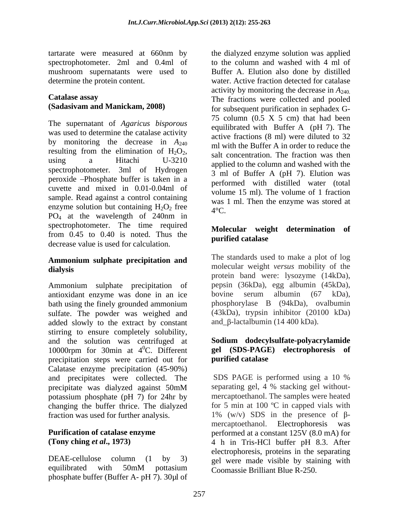spectrophotometer. 2ml and 0.4ml of mushroom supernatants were used to

The supernatant of *Agaricus bisporous* was used to determine the catalase activity by monitoring the decrease in  $A_{240}$  resulting from the elimination of  $H_2O_2$ , resulting from the elimination of  $H_2O_2$ , salt concentration. The fraction was then<br>using a Hitachi U-3210 applied to the column and washed with the spectrophotometer. 3ml of Hydrogen peroxide Phosphate buffer is taken in a cuvette and mixed in 0.01-0.04ml of sample. Read against a control containing enzyme solution but containing  $H_2O_2$  free<br>PO<sub>4</sub> at the wavelength of 240nm in  $4^{\circ}C$ .  $PO_4$  at the wavelength of 240nm in spectrophotometer. The time required from 0.45 to 0.40 is noted. Thus the **purified catalase** decrease value is used for calculation.

## **Ammonium sulphate precipitation and**

Ammonium sulphate precipitation of pepsin (36kDa), egg albumin (45kDa), antioxidant enzyme was done in an ice bovine serum albumin (67 kDa). antioxidant enzyme was done in an ice bath using the finely grounded ammonium bhosphorylase B (94kDa), ovalbumin sulfate. The powder was weighed and added slowly to the extract by constant stirring to ensure completely solubility, and the solution was centrifuged at 10000rpm for 30min at  $4^0C$ . Different gel (SDS-PAGE precipitation steps were carried out for **purified catalase** precipitation steps were carried out for Calatase enzyme precipitation (45-90%) and precipitates were collected. The SDS PAGE is performed using a 10 % originate was dialyzed against 50mM separating gel, 4 % stacking gel withoutprecipitate was dialyzed against 50mM potassium phosphate (pH 7) for 24hr by changing the buffer thrice. The dialyzed

phosphate buffer (Buffer A- pH 7). 30µl of

tartarate were measured at 660nm by the dialyzed enzyme solution was applied determine the protein content. water. Active fraction detected for catalase **Catalase assay Catalase assay The fractions were collected and pooled (Sadasivam and Manickam, 2008)** for subsequent purification in sephadex G to the column and washed with 4 ml of Buffer A. Elution also done by distilled activity by monitoring the decrease in  $A_{240}$ .<br>The fractions were collected and pooled 75 column  $(0.5 \times 5$  cm) that had been equilibrated with Buffer A (pH 7). The active fractions (8 ml) were diluted to 32 ml with the Buffer A in order to reduce the salt concentration. The fraction was then applied to the column and washed with the 3 ml of Buffer A (pH 7). Elution was performed with distilled water (total volume 15 ml). The volume of 1 fraction was 1 ml. Then the enzyme was stored at  $4^{\circ}$ C.

### **Molecular weight determination of purified catalase**

**dialysis** molecular weight *versus* mobility of the The standards used to make a plot of log protein band were: lysozyme (14kDa), pepsin (36kDa), egg albumin (45kDa), bovine serum albumin (67 kDa), phosphorylase B (94kDa), ovalbumin (43kDa), trypsin inhibitor (20100 kDa) and  $\beta$ -lactalbumin (14 400 kDa).

#### 0C. Different **gel (SDS-PAGE) electrophoresis of Sodium dodecylsulfate-polyacrylamide purified catalase**

fraction was used for further analysis.  $1\%$  (w/v) SDS in the presence of  $\beta$ -<br>mercantoethanol. Electrophoresis was **Purification of catalase enzyme** performed at a constant 125V (8.0 mA) for **(Tony ching** *et al***., 1973)** 4 h in Tris-HCl buffer pH 8.3. After DEAE-cellulose column (1 by 3) gel were made visible by staining with equilibrated with 50mM pottasium  $\overline{C}_{\text{comassie Brilliant Blue R-250}}$ SDS PAGE is performed using a 10 % separating gel, 4 % stacking gel without mercaptoethanol. The samples were heated for 5 min at 100 $\degree$ C in capped vials with 1% (w/v) SDS in the presence of  $\beta$ mercaptoethanol. Electrophoresis electrophoresis, proteins in the separating Coomassie Brilliant Blue R-250.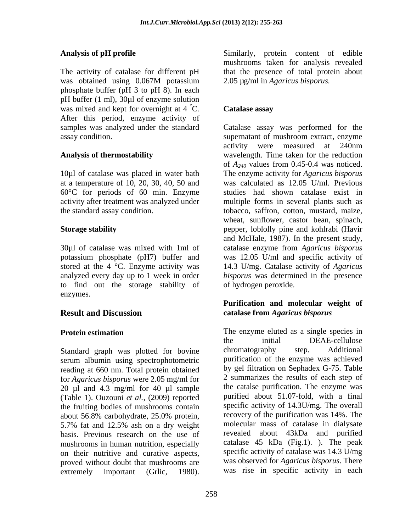The activity of catalase for different pH that the presence of total protein about was obtained using 0.067M potassium 2.05 µg/ml in Agaricus bisporus. phosphate buffer (pH 3 to pH 8). In each pH buffer (1 ml), 30µl of enzyme solution was mixed and kept for overnight at  $4^{\circ}$ C. After this period, enzyme activity of

10µl of catalase was placed in water bath at a temperature of 10, 20, 30, 40, 50 and

analyzed every day up to 1 week in order to find out the storage stability of enzymes.

Standard graph was plotted for bovine chromatography step. Additional serum albumin using spectrophotometric reading at 660 nm. Total protein obtained for *Agaricus bisporus* were 2.05 mg/ml for 20 µl and 4.3 mg/ml for 40 µl sample (Table 1). Ouzouni *et al.*, (2009) reported the fruiting bodies of mushrooms contain about 56.8% carbohydrate, 25.0% protein, basis. Previous research on the use of mushrooms in human nutrition, especially on their nutritive and curative aspects, proved without doubt that mushrooms are extremely important (Grlic, 1980). was rise in specific activity in each

**Analysis of pH profile**  Similarly, protein content of edible mushrooms taken for analysis revealed 2.05 µg/ml in *Agaricus bisporus.*

#### Catalase assay **Catalase assay**

samples was analyzed under the standard Catalase assay was performed for the assay condition. supernatant of mushroom extract, enzyme **Analysis of thermostability**  wavelength. Time taken for the reduction 60°C for periods of 60 min. Enzyme studies had shown catalase exist in activity after treatment was analyzed under multiple forms in several plants such as the standard assay condition. tobacco, saffron, cotton, mustard, maize, **Storage stability** pepper, loblolly pine and kohlrabi (Havir 30µl of catalase was mixed with 1ml of catalaseenzyme from *Agaricus bisporus* potassium phosphate (pH7) buffer and was 12.05 U/ml and specific activity of stored at the 4 °C. Enzyme activity was 14.3 U/mg. Catalase activity of *Agaricus* activity were measured at 240nm of *A240* values from 0.45-0.4 was noticed. The enzyme activity for *Agaricus bisporus* was calculated as 12.05 U/ml. Previous wheat, sunflower, castor bean, spinach, and McHale, 1987). In the present study, *bisporus* was determined in the presence of hydrogen peroxide.

### **Result and Discussion catalase from** *Agaricus bisporus* **Purification and molecular weight of**

**Protein estimation** The enzyme eluted as a single species in 5.7% fat and 12.5% ash on a dry weight the initial DEAE-cellulose chromatography step. Additional purification of the enzyme was achieved by gel filtration on Sephadex G-75. Table 2 summarizes the results of each step of the catalse purification. The enzyme was purified about 51.07-fold, with a final specific activity of 14.3U/mg. The overall recovery of the purification was 14%. The molecular mass of catalase in dialysate revealed about 43kDa and purified catalase 45 kDa (Fig.1). ). The peak specific activity of catalase was 14.3 U/mg was observed for *Agaricus bisporus*. There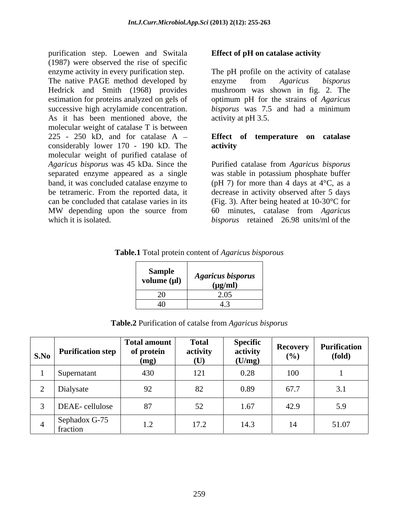purification step. Loewen and Switala (1987) were observed the rise of specific enzyme activity in every purification step. The pH profile on the activity of catalase The native PAGE method developed by enzyme from Agaricus bisporus Hedrick and Smith (1968) provides mushroom was shown in fig. 2. The estimation for proteins analyzed on gels of optimum pH for the strains of *Agaricus*  successive high acrylamide concentration. *bisporus* was 7.5 and had a minimum As it has been mentioned above, the molecular weight of catalase T is between 225 - 250 kD, and for catalase A **Effect of temperature on catalase** considerably lower 170 - 190 kD. The molecular weight of purified catalase of *Agaricus bisporus* was 45 kDa. Since the Purified catalase from *Agaricus bisporus* separated enzyme appeared as a single band, it was concluded catalase enzyme to be tetrameric. From the reported data, it decrease in activity observed after 5 days can be concluded that catalase varies in its (Fig. 3). After being heated at 10-30°C for MW depending upon the source from 60 minutes, catalase from Agaricus

### **Effect of pH on catalase activity**

enzyme from *Agaricus bisporus* mushroom was shown in fig. 2. The activity at pH 3.5.

## **activity**

which it is isolated. *bisporus* retained 26.98 units/ml of the was stable in potassium phosphate buffer (pH 7) for more than 4 days at  $4^{\circ}$ C, as a 60 minutes, catalase from *Agaricus* 

#### **Table.1** Total protein content of *Agaricus bisporous*

| $\sim$<br>Sample<br>volume (µl) | <b>Agaricus bisporus</b><br>$(\mu g/ml)$<br>- - - - |
|---------------------------------|-----------------------------------------------------|
| 20                              | 2.05                                                |
| 40                              |                                                     |

**Table.2** Purification of catalse from *Agaricus bisporus*

| $\vert$ S.No $\vert$ Purification step $\vert$ | Total amount<br>of protein<br>(mg) | <b>Total</b><br>activity<br>(U) | <b>Specific</b><br>activity<br>(U/mg) | (%)               | Recovery   Purification<br>(fold) |
|------------------------------------------------|------------------------------------|---------------------------------|---------------------------------------|-------------------|-----------------------------------|
| Supernatant                                    | 430                                | 121                             | 0.28                                  | 100               |                                   |
| Dialysate                                      | $\Omega$<br>╯▃                     | 82                              | 0.89                                  | $\sqrt{2}$<br>0/1 | 5.1                               |
| DEAE-cellulose                                 | $\Omega$                           | 52<br>ے ر                       | 1.67                                  | 42.9              | 5.9                               |
| Sephadox G-75<br>fraction                      | 1.2                                | 17.2                            | 14.3                                  | $1 +$             | 51.07                             |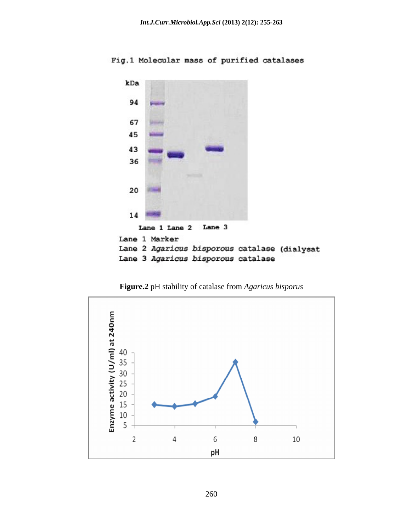Fig.1 Molecular mass of purified catalases



**Figure.2** pH stability of catalase from *Agaricus bisporus*

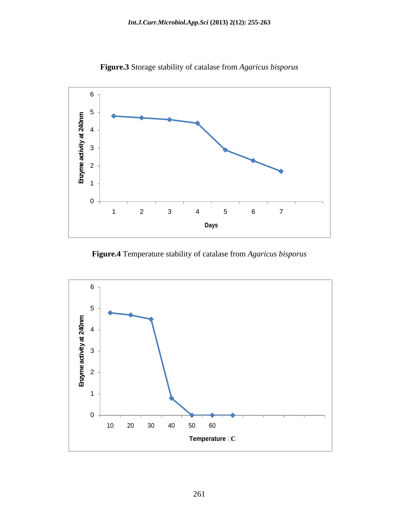

**Figure.3** Storage stability of catalase from *Agaricus bisporus* 

**Figure.4** Temperature stability of catalase from *Agaricus bisporus* 

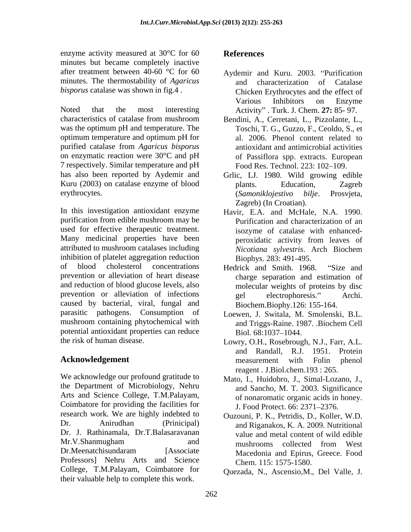enzyme activity measured at  $30^{\circ}$ C for 60 **References** minutes but became completely inactive after treatment between 40-60 °C for 60 Aydemir and Kuru. 2003. "Purification minutes. The thermostability of *Agaricus* 

characteristics of catalase from mushroom Bendini, A., Cerretani, L., Pizzolante, L., was the optimum pH and temperature. The optimum temperature and optimum pH for purified catalase from *Agaricus bisporus* on enzymatic reaction were 30°C and pH of Passiflora spp. extracts. European 7 respectively. Similar temperature and pH has also been reported by Aydemir and Grlic, LJ. 1980. Wild growing edible Kuru (2003) on catalase enzyme of blood blants. Education, Zagreb erythrocytes. (Samoniklojestivo bilje. Prosvjeta,

In this investigation antioxidant enzyme Havir, E.A. and McHale, N.A. 1990. purification from edible mushroom may be used for effective therapeutic treatment. Many medicinal properties have been attributed to mushroom catalases including *Nicotiana sylvestris*. Arch Biochem inhibition of platelet aggregation reduction of blood cholesterol concentrations Hedrick and Smith, 1968. "Size and prevention or alleviation of heart disease charge separation and estimation of and reduction of blood glucose levels, also prevention or alleviation of infections electrophoresis." Archi. caused by bacterial, viral, fungal and parasitic pathogens. Consumption of Loewen, J. Switala, M. Smolenski, B.L. mushroom containing phytochemical with potential antioxidant properties can reduce Biol. 68:1037-1044.

We acknowledge our profound gratitude to the Department of Microbiology, Nehru Arts and Science College, T.M.Palayam, Coimbatore for providing the facilities for research work. We are highly indebted to Dr. Anirudhan (Prinicipal) and Riganakos, K. A. 2009. Nutritional<br>Dr. J. Rathinamala, Dr.T.Balasaravanan value and metal content of wild edible<br>Mr.V.Shanmugham and mushrooms collected from West Dr.Meenatchisundaram [Associate Macedonia and Epirus, Greece. Food Professors] Nehru Arts and Science College, T.M.Palayam, Coimbatore for their valuable help to complete this work.

### **References**

- *bisporus* catalase was shown in fig.4.<br>
Noted that the most interesting Moted that the most interesting Activity". Turk. J. Chem. 27: 85- 97. characterization of Catalase Chicken Erythrocytes and the effect of Various Inhibitors on Enzyme Activity . Turk. J. Chem. **27:** 85- 97.
	- Toschi, T. G., Guzzo, F., Ceoldo, S., et al. 2006. Phenol content related to antioxidant and antimicrobial activities Food Res. Technol. 223: 102-109.
	- plants. Education, Zagreb (*Samoniklojestivo bilje*. Prosvjeta, Zagreb) (In Croatian).
	- Purification and characterization of an isozyme of catalase with enhanced peroxidatic activity from leaves of *Nicotiana sylvestris*. Arch Biochem Biophys. 283: 491-495.
	- Hedrick and Smith. 1968. "Size and molecular weights of proteins by disc electrophoresis." Biochem.Biophy.126: 155-164.
	- and Triggs-Raine. 1987. .Biochem Cell Biol. 68:1037–1044.
- the risk of human disease. Lowry, O.H., Rosebrough, N.J., Farr, A.L. **Acknowledgement Conserverse Exercise 2 and 2** measurement with Folin phenol and Randall, R.J. 1951. Protein measurement with Folin phenol reagent *.* J.Biol.chem.193 : 265.
	- Mato, I., Huidobro, J., Simal-Lozano, J., and Sancho, M. T. 2003. Significance of nonaromatic organic acids in honey. J. Food Protect. 66: 2371-2376.
	- Ouzouni, P. K., Petridis, D., Koller, W.D. and Riganakos, K. A. 2009. Nutritional value and metal content of wild edible mushrooms collected from West Chem. 115: 1575-1580.

Quezada, N., Ascensio,M., Del Valle, J.